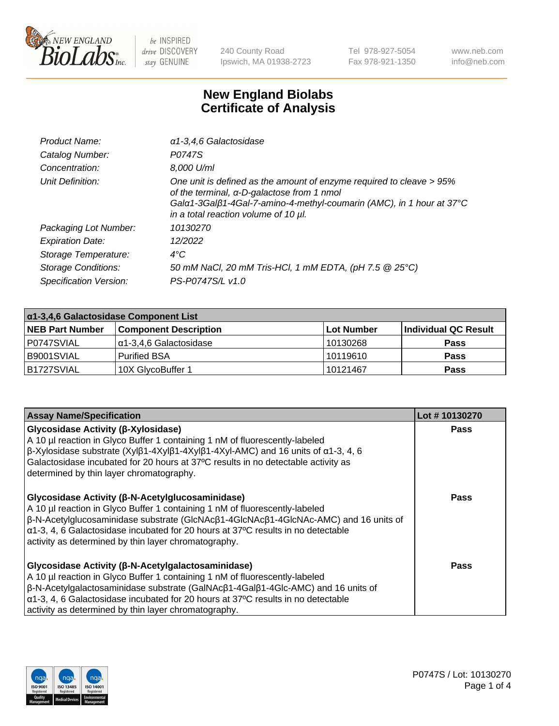

240 County Road Ipswich, MA 01938-2723 Tel 978-927-5054 Fax 978-921-1350 www.neb.com info@neb.com

## **New England Biolabs Certificate of Analysis**

| Product Name:           | a1-3,4,6 Galactosidase                                                                                                                                                                                                             |
|-------------------------|------------------------------------------------------------------------------------------------------------------------------------------------------------------------------------------------------------------------------------|
| Catalog Number:         | P0747S                                                                                                                                                                                                                             |
| Concentration:          | 8,000 U/ml                                                                                                                                                                                                                         |
| Unit Definition:        | One unit is defined as the amount of enzyme required to cleave > 95%<br>of the terminal, α-D-galactose from 1 nmol<br>Gala1-3Galß1-4Gal-7-amino-4-methyl-coumarin (AMC), in 1 hour at 37°C<br>in a total reaction volume of 10 µl. |
| Packaging Lot Number:   | 10130270                                                                                                                                                                                                                           |
| <b>Expiration Date:</b> | 12/2022                                                                                                                                                                                                                            |
| Storage Temperature:    | $4^{\circ}$ C                                                                                                                                                                                                                      |
| Storage Conditions:     | 50 mM NaCl, 20 mM Tris-HCl, 1 mM EDTA, (pH 7.5 @ 25°C)                                                                                                                                                                             |
| Specification Version:  | PS-P0747S/L v1.0                                                                                                                                                                                                                   |

| α1-3,4,6 Galactosidase Component List |                              |                   |                      |  |
|---------------------------------------|------------------------------|-------------------|----------------------|--|
| <b>NEB Part Number</b>                | <b>Component Description</b> | <b>Lot Number</b> | Individual QC Result |  |
| I P0747SVIAL                          | Iα1-3.4.6 Galactosidase      | 10130268          | <b>Pass</b>          |  |
| I B9001SVIAL                          | <b>Purified BSA</b>          | 10119610          | <b>Pass</b>          |  |
| B1727SVIAL                            | 10X GlycoBuffer 1            | 10121467          | <b>Pass</b>          |  |

| <b>Assay Name/Specification</b>                                                                                                                                                                                                                                                                                                                                                                    | Lot #10130270 |
|----------------------------------------------------------------------------------------------------------------------------------------------------------------------------------------------------------------------------------------------------------------------------------------------------------------------------------------------------------------------------------------------------|---------------|
| Glycosidase Activity (β-Xylosidase)<br>A 10 µl reaction in Glyco Buffer 1 containing 1 nM of fluorescently-labeled<br>$\beta$ -Xylosidase substrate (Xylβ1-4Xylβ1-4Xylβ1-4Xyl-AMC) and 16 units of α1-3, 4, 6<br>Galactosidase incubated for 20 hours at 37°C results in no detectable activity as<br>determined by thin layer chromatography.                                                     | Pass          |
| Glycosidase Activity (β-N-Acetylglucosaminidase)<br>A 10 µl reaction in Glyco Buffer 1 containing 1 nM of fluorescently-labeled<br>$\beta$ -N-Acetylglucosaminidase substrate (GlcNAc $\beta$ 1-4GlcNAc $\beta$ 1-4GlcNAc-AMC) and 16 units of<br>$\alpha$ 1-3, 4, 6 Galactosidase incubated for 20 hours at 37°C results in no detectable<br>activity as determined by thin layer chromatography. | Pass          |
| Glycosidase Activity (β-N-Acetylgalactosaminidase)<br>A 10 µl reaction in Glyco Buffer 1 containing 1 nM of fluorescently-labeled<br>β-N-Acetylgalactosaminidase substrate (GalNAcβ1-4Galβ1-4Glc-AMC) and 16 units of<br>$\alpha$ 1-3, 4, 6 Galactosidase incubated for 20 hours at 37°C results in no detectable<br>activity as determined by thin layer chromatography.                          | Pass          |

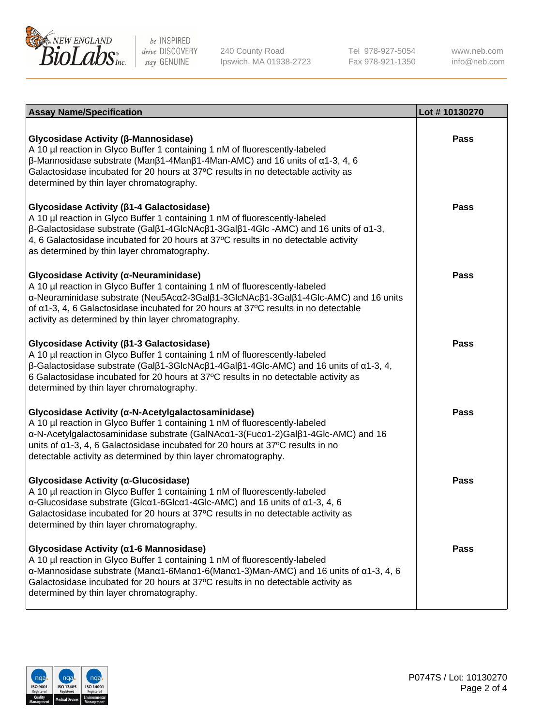

240 County Road Ipswich, MA 01938-2723 Tel 978-927-5054 Fax 978-921-1350

www.neb.com info@neb.com

| <b>Assay Name/Specification</b>                                                                                                                                                                                                                                                                                                                                                             | Lot #10130270 |
|---------------------------------------------------------------------------------------------------------------------------------------------------------------------------------------------------------------------------------------------------------------------------------------------------------------------------------------------------------------------------------------------|---------------|
| Glycosidase Activity (β-Mannosidase)<br>A 10 µl reaction in Glyco Buffer 1 containing 1 nM of fluorescently-labeled<br>$\beta$ -Mannosidase substrate (Man $\beta$ 1-4Man $\beta$ 1-4Man-AMC) and 16 units of $\alpha$ 1-3, 4, 6<br>Galactosidase incubated for 20 hours at 37°C results in no detectable activity as<br>determined by thin layer chromatography.                           | <b>Pass</b>   |
| Glycosidase Activity (β1-4 Galactosidase)<br>A 10 µl reaction in Glyco Buffer 1 containing 1 nM of fluorescently-labeled<br>$\beta$ -Galactosidase substrate (Gal $\beta$ 1-4GlcNAc $\beta$ 1-3Gal $\beta$ 1-4Glc -AMC) and 16 units of $\alpha$ 1-3,<br>4, 6 Galactosidase incubated for 20 hours at 37°C results in no detectable activity<br>as determined by thin layer chromatography. | Pass          |
| Glycosidase Activity (α-Neuraminidase)<br>A 10 µl reaction in Glyco Buffer 1 containing 1 nM of fluorescently-labeled<br>α-Neuraminidase substrate (Neu5Acα2-3Galβ1-3GlcNAcβ1-3Galβ1-4Glc-AMC) and 16 units<br>of $\alpha$ 1-3, 4, 6 Galactosidase incubated for 20 hours at 37°C results in no detectable<br>activity as determined by thin layer chromatography.                          | <b>Pass</b>   |
| Glycosidase Activity (β1-3 Galactosidase)<br>A 10 µl reaction in Glyco Buffer 1 containing 1 nM of fluorescently-labeled<br>$\beta$ -Galactosidase substrate (Gal $\beta$ 1-3GlcNAc $\beta$ 1-4Gal $\beta$ 1-4Glc-AMC) and 16 units of $\alpha$ 1-3, 4,<br>6 Galactosidase incubated for 20 hours at 37°C results in no detectable activity as<br>determined by thin layer chromatography.  | <b>Pass</b>   |
| Glycosidase Activity (α-N-Acetylgalactosaminidase)<br>A 10 µl reaction in Glyco Buffer 1 containing 1 nM of fluorescently-labeled<br>α-N-Acetylgalactosaminidase substrate (GalNAcα1-3(Fucα1-2)Galβ1-4Glc-AMC) and 16<br>units of $\alpha$ 1-3, 4, 6 Galactosidase incubated for 20 hours at 37°C results in no<br>detectable activity as determined by thin layer chromatography.          | <b>Pass</b>   |
| Glycosidase Activity (α-Glucosidase)<br>A 10 µl reaction in Glyco Buffer 1 containing 1 nM of fluorescently-labeled<br>$\alpha$ -Glucosidase substrate (Glc $\alpha$ 1-6Glc $\alpha$ 1-4Glc-AMC) and 16 units of $\alpha$ 1-3, 4, 6<br>Galactosidase incubated for 20 hours at 37°C results in no detectable activity as<br>determined by thin layer chromatography.                        | <b>Pass</b>   |
| Glycosidase Activity (a1-6 Mannosidase)<br>A 10 µl reaction in Glyco Buffer 1 containing 1 nM of fluorescently-labeled<br>$\alpha$ -Mannosidase substrate (Man $\alpha$ 1-6Man $\alpha$ 1-6(Man $\alpha$ 1-3)Man-AMC) and 16 units of $\alpha$ 1-3, 4, 6<br>Galactosidase incubated for 20 hours at 37°C results in no detectable activity as<br>determined by thin layer chromatography.   | Pass          |

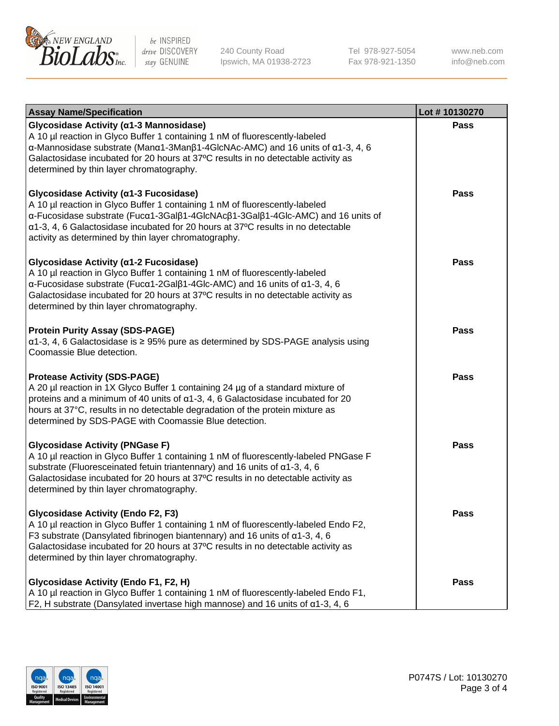

240 County Road Ipswich, MA 01938-2723 Tel 978-927-5054 Fax 978-921-1350

www.neb.com info@neb.com

| <b>Assay Name/Specification</b>                                                                                                                                                                                                                                                                                                                                           | Lot #10130270 |
|---------------------------------------------------------------------------------------------------------------------------------------------------------------------------------------------------------------------------------------------------------------------------------------------------------------------------------------------------------------------------|---------------|
| Glycosidase Activity (α1-3 Mannosidase)<br>A 10 µl reaction in Glyco Buffer 1 containing 1 nM of fluorescently-labeled<br>$\alpha$ -Mannosidase substrate (Man $\alpha$ 1-3Man $\beta$ 1-4GlcNAc-AMC) and 16 units of $\alpha$ 1-3, 4, 6<br>Galactosidase incubated for 20 hours at 37°C results in no detectable activity as<br>determined by thin layer chromatography. | Pass          |
| Glycosidase Activity (a1-3 Fucosidase)<br>A 10 µl reaction in Glyco Buffer 1 containing 1 nM of fluorescently-labeled<br>α-Fucosidase substrate (Fucα1-3Galβ1-4GlcNAcβ1-3Galβ1-4Glc-AMC) and 16 units of<br>$\alpha$ 1-3, 4, 6 Galactosidase incubated for 20 hours at 37°C results in no detectable<br>activity as determined by thin layer chromatography.              | Pass          |
| Glycosidase Activity (α1-2 Fucosidase)<br>A 10 µl reaction in Glyco Buffer 1 containing 1 nM of fluorescently-labeled<br>$\alpha$ -Fucosidase substrate (Fuc $\alpha$ 1-2Gal $\beta$ 1-4Glc-AMC) and 16 units of $\alpha$ 1-3, 4, 6<br>Galactosidase incubated for 20 hours at 37°C results in no detectable activity as<br>determined by thin layer chromatography.      | <b>Pass</b>   |
| <b>Protein Purity Assay (SDS-PAGE)</b><br>$\alpha$ 1-3, 4, 6 Galactosidase is $\geq$ 95% pure as determined by SDS-PAGE analysis using<br>Coomassie Blue detection.                                                                                                                                                                                                       | Pass          |
| <b>Protease Activity (SDS-PAGE)</b><br>A 20 µl reaction in 1X Glyco Buffer 1 containing 24 µg of a standard mixture of<br>proteins and a minimum of 40 units of $\alpha$ 1-3, 4, 6 Galactosidase incubated for 20<br>hours at 37°C, results in no detectable degradation of the protein mixture as<br>determined by SDS-PAGE with Coomassie Blue detection.               | Pass          |
| <b>Glycosidase Activity (PNGase F)</b><br>A 10 µl reaction in Glyco Buffer 1 containing 1 nM of fluorescently-labeled PNGase F<br>substrate (Fluoresceinated fetuin triantennary) and 16 units of $\alpha$ 1-3, 4, 6<br>Galactosidase incubated for 20 hours at 37°C results in no detectable activity as<br>determined by thin layer chromatography.                     | <b>Pass</b>   |
| <b>Glycosidase Activity (Endo F2, F3)</b><br>A 10 µl reaction in Glyco Buffer 1 containing 1 nM of fluorescently-labeled Endo F2,<br>F3 substrate (Dansylated fibrinogen biantennary) and 16 units of $\alpha$ 1-3, 4, 6<br>Galactosidase incubated for 20 hours at 37°C results in no detectable activity as<br>determined by thin layer chromatography.                 | <b>Pass</b>   |
| Glycosidase Activity (Endo F1, F2, H)<br>A 10 µl reaction in Glyco Buffer 1 containing 1 nM of fluorescently-labeled Endo F1,<br>F2, H substrate (Dansylated invertase high mannose) and 16 units of a1-3, 4, 6                                                                                                                                                           | Pass          |